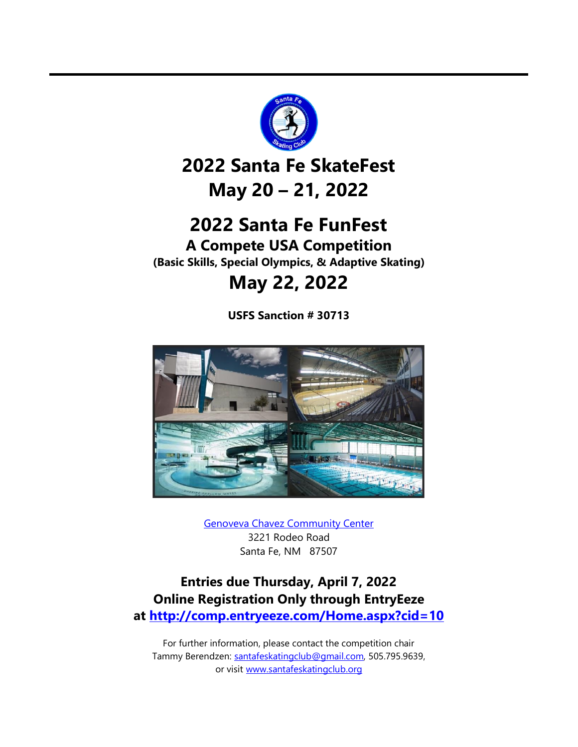

# **2022 Santa Fe SkateFest May 20 – 21, 2022**

# **2022 Santa Fe FunFest**

**A Compete USA Competition (Basic Skills, Special Olympics, & Adaptive Skating)**

# **May 22, 2022**

**USFS Sanction # 30713**



[Genoveva Chavez Community Center](https://www.chavezcenter.com/) 3221 Rodeo Road Santa Fe, NM 87507

# **Entries due Thursday, April 7, 2022 Online Registration Only through EntryEeze at<http://comp.entryeeze.com/Home.aspx?cid=10>**

For further information, please contact the competition chair Tammy Berendzen: [santafeskatingclub@gmail.com,](mailto:santafeskatingclub@gmail.com) 505.795.9639, or visit [www.santafeskatingclub.org](http://www.santafeskatingclub.org/)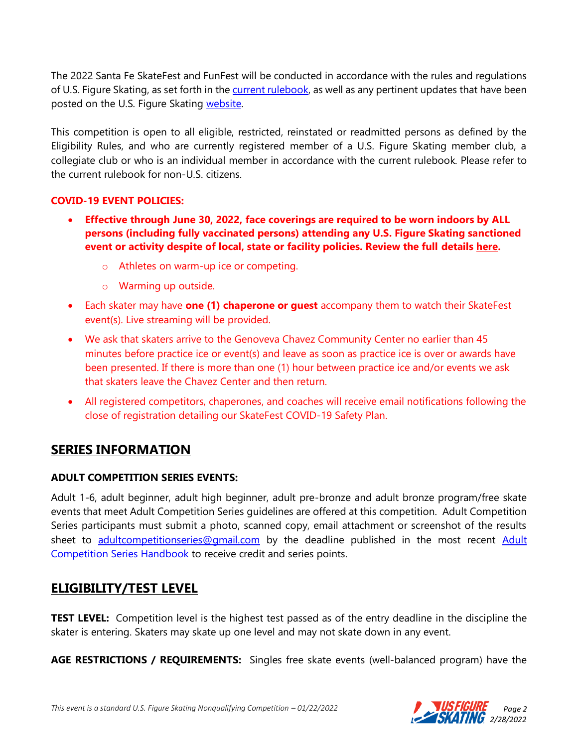The 2022 Santa Fe SkateFest and FunFest will be conducted in accordance with the rules and regulations of U.S. Figure Skating, as set forth in the current [rulebook,](https://www.usfigureskating.org/about/rules) as well as any pertinent updates that have been posted on the U.S. Figure Skating [website.](https://www.usfsaonline.org/Account/InitialLogOn?returnUrl=%2FCrossAuth%2FContentRepositoryLoginRedirectAsync%3Furl%3D%252Fmembers-only%252Fmembers%252Ftechnical-notifications)

This competition is open to all eligible, restricted, reinstated or readmitted persons as defined by the Eligibility Rules, and who are currently registered member of a U.S. Figure Skating member club, a collegiate club or who is an individual member in accordance with the current rulebook. Please refer to the current rulebook for non-U.S. citizens.

#### **COVID-19 EVENT POLICIES:**

- **Effective through June 30, 2022, face coverings are required to be worn indoors by ALL persons (including fully vaccinated persons) attending any U.S. Figure Skating sanctioned event or activity despite of local, state or facility policies. Review the full details [here.](https://www.usfigureskating.org/support/%E2%80%A2%09Replace%20signage%20on%20basecamp%20(Competition%20Leadership%20%E2%80%93%20Docs%20&%20Files%20%E2%80%93%20COVID-19%20Comp.%20Resources))** 
	- o Athletes on warm-up ice or competing.
	- o Warming up outside.
- Each skater may have **one (1) chaperone or guest** accompany them to watch their SkateFest event(s). Live streaming will be provided.
- We ask that skaters arrive to the Genoveva Chavez Community Center no earlier than 45 minutes before practice ice or event(s) and leave as soon as practice ice is over or awards have been presented. If there is more than one (1) hour between practice ice and/or events we ask that skaters leave the Chavez Center and then return.
- All registered competitors, chaperones, and coaches will receive email notifications following the close of registration detailing our SkateFest COVID-19 Safety Plan.

## **SERIES INFORMATION**

#### **ADULT COMPETITION SERIES EVENTS:**

Adult 1-6, adult beginner, adult high beginner, adult pre-bronze and adult bronze program/free skate events that meet Adult Competition Series guidelines are offered at this competition. Adult Competition Series participants must submit a photo, scanned copy, email attachment or screenshot of the results sheet to [adultcompetitionseries@gmail.com](mailto:adultcompetitionseries@gmail.com) by the deadline published in the most recent Adult [Competition Series Handbook](https://www.usfigureskating.org/skate/skating-opportunities/adult-skating) to receive credit and series points.

## **ELIGIBILITY/TEST LEVEL**

**TEST LEVEL:** Competition level is the highest test passed as of the entry deadline in the discipline the skater is entering. Skaters may skate up one level and may not skate down in any event.

**AGE RESTRICTIONS / REQUIREMENTS:** Singles free skate events (well-balanced program) have the

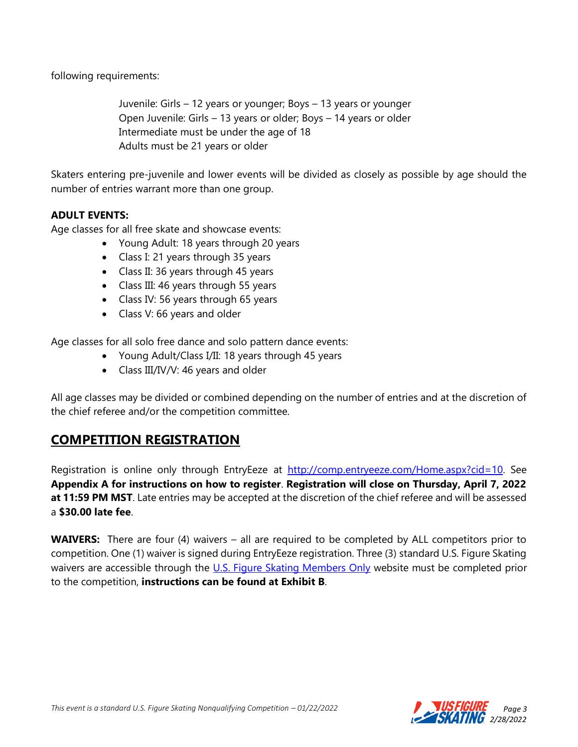following requirements:

Juvenile: Girls – 12 years or younger; Boys – 13 years or younger Open Juvenile: Girls – 13 years or older; Boys – 14 years or older Intermediate must be under the age of 18 Adults must be 21 years or older

Skaters entering pre-juvenile and lower events will be divided as closely as possible by age should the number of entries warrant more than one group.

#### **ADULT EVENTS:**

Age classes for all free skate and showcase events:

- Young Adult: 18 years through 20 years
- Class I: 21 years through 35 years
- Class II: 36 years through 45 years
- Class III: 46 years through 55 years
- Class IV: 56 years through 65 years
- Class V: 66 years and older

Age classes for all solo free dance and solo pattern dance events:

- Young Adult/Class I/II: 18 years through 45 years
- Class III/IV/V: 46 years and older

All age classes may be divided or combined depending on the number of entries and at the discretion of the chief referee and/or the competition committee.

## **COMPETITION REGISTRATION**

Registration is online only through EntryEeze at [http://comp.entryeeze.com/Home.aspx?cid=10.](http://comp.entryeeze.com/Home.aspx?cid=10) See **Appendix A for instructions on how to register**. **Registration will close on Thursday, April 7, 2022 at 11:59 PM MST**. Late entries may be accepted at the discretion of the chief referee and will be assessed a **\$30.00 late fee**.

**WAIVERS:** There are four (4) waivers – all are required to be completed by ALL competitors prior to competition. One (1) waiver is signed during EntryEeze registration. Three (3) standard U.S. Figure Skating waivers are accessible through the [U.S. Figure Skating Members Only](https://www.usfsaonline.org/) website must be completed prior to the competition, **instructions can be found at Exhibit B**.

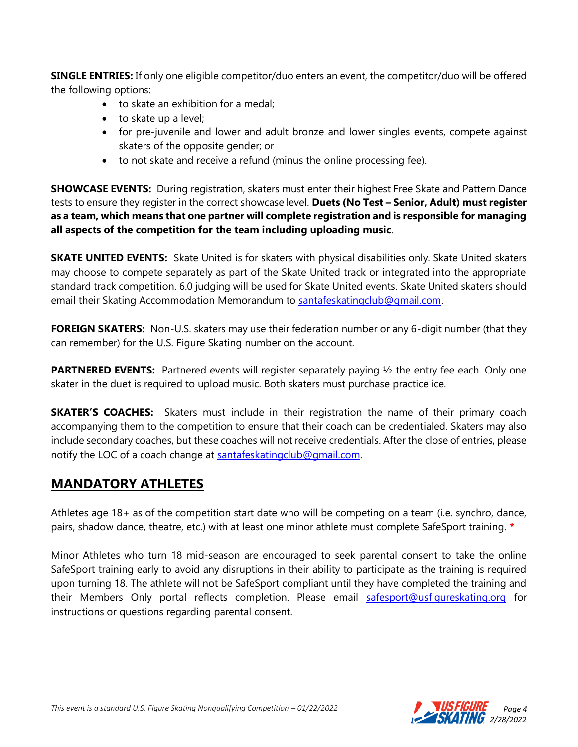**SINGLE ENTRIES:** If only one eligible competitor/duo enters an event, the competitor/duo will be offered the following options:

- to skate an exhibition for a medal;
- to skate up a level;
- for pre-juvenile and lower and adult bronze and lower singles events, compete against skaters of the opposite gender; or
- to not skate and receive a refund (minus the online processing fee).

**SHOWCASE EVENTS:** During registration, skaters must enter their highest Free Skate and Pattern Dance tests to ensure they register in the correct showcase level. **Duets (No Test – Senior, Adult) must register as a team, which means that one partner will complete registration and is responsible for managing all aspects of the competition for the team including uploading music**.

**SKATE UNITED EVENTS:** Skate United is for skaters with physical disabilities only. Skate United skaters may choose to compete separately as part of the Skate United track or integrated into the appropriate standard track competition. 6.0 judging will be used for Skate United events. Skate United skaters should email their Skating Accommodation Memorandum to [santafeskatingclub@gmail.com.](mailto:santafeskatingclub@gmail.com)

**FOREIGN SKATERS:** Non-U.S. skaters may use their federation number or any 6-digit number (that they can remember) for the U.S. Figure Skating number on the account.

**PARTNERED EVENTS:** Partnered events will register separately paying 1/2 the entry fee each. Only one skater in the duet is required to upload music. Both skaters must purchase practice ice.

**SKATER'S COACHES:** Skaters must include in their registration the name of their primary coach accompanying them to the competition to ensure that their coach can be credentialed. Skaters may also include secondary coaches, but these coaches will not receive credentials. After the close of entries, please notify the LOC of a coach change at [santafeskatingclub@gmail.com.](mailto:santafeskatingclub@gmail.com)

## **MANDATORY ATHLETES**

Athletes age 18+ as of the competition start date who will be competing on a team (i.e. synchro, dance, pairs, shadow dance, theatre, etc.) with at least one minor athlete must complete SafeSport training. **\***

Minor Athletes who turn 18 mid-season are encouraged to seek parental consent to take the online SafeSport training early to avoid any disruptions in their ability to participate as the training is required upon turning 18. The athlete will not be SafeSport compliant until they have completed the training and their Members Only portal reflects completion. Please email [safesport@usfigureskating.org](mailto:safesport@usfigureskating.org) for instructions or questions regarding parental consent.

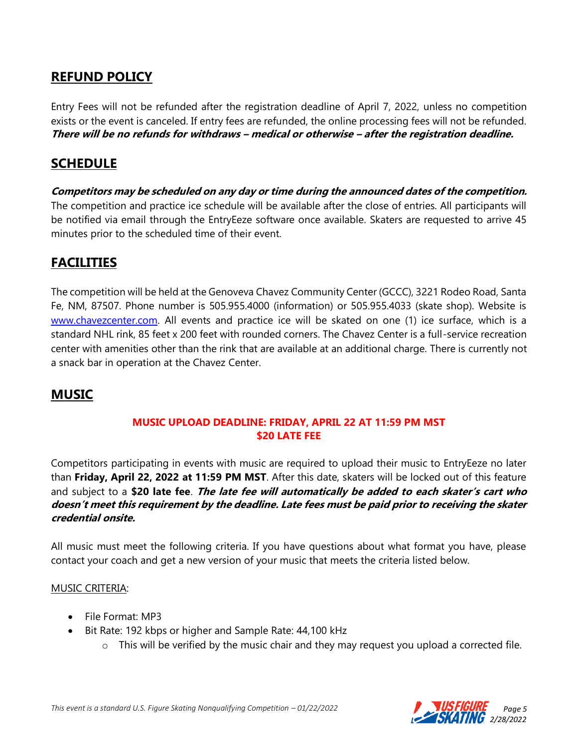## **REFUND POLICY**

Entry Fees will not be refunded after the registration deadline of April 7, 2022, unless no competition exists or the event is canceled. If entry fees are refunded, the online processing fees will not be refunded. **There will be no refunds for withdraws – medical or otherwise – after the registration deadline.**

#### **SCHEDULE**

**Competitors may be scheduled on any day or time during the announced dates of the competition.**  The competition and practice ice schedule will be available after the close of entries. All participants will be notified via email through the EntryEeze software once available. Skaters are requested to arrive 45 minutes prior to the scheduled time of their event.

## **FACILITIES**

The competition will be held at the Genoveva Chavez Community Center (GCCC), 3221 Rodeo Road, Santa Fe, NM, 87507. Phone number is 505.955.4000 (information) or 505.955.4033 (skate shop). Website is [www.chavezcenter.com.](http://www.chavezcenter.com/) All events and practice ice will be skated on one (1) ice surface, which is a standard NHL rink, 85 feet x 200 feet with rounded corners. The Chavez Center is a full-service recreation center with amenities other than the rink that are available at an additional charge. There is currently not a snack bar in operation at the Chavez Center.

## **MUSIC**

#### **MUSIC UPLOAD DEADLINE: FRIDAY, APRIL 22 AT 11:59 PM MST \$20 LATE FEE**

Competitors participating in events with music are required to upload their music to EntryEeze no later than **Friday, April 22, 2022 at 11:59 PM MST**. After this date, skaters will be locked out of this feature and subject to a **\$20 late fee**. **The late fee will automatically be added to each skater's cart who doesn't meet this requirement by the deadline. Late fees must be paid prior to receiving the skater credential onsite.**

All music must meet the following criteria. If you have questions about what format you have, please contact your coach and get a new version of your music that meets the criteria listed below.

#### MUSIC CRITERIA:

- File Format: MP3
- Bit Rate: 192 kbps or higher and Sample Rate: 44,100 kHz
	- $\circ$  This will be verified by the music chair and they may request you upload a corrected file.

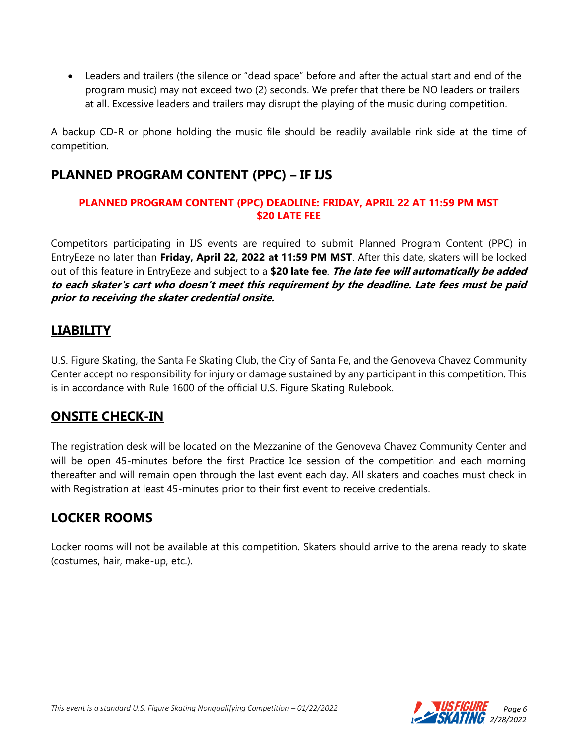• Leaders and trailers (the silence or "dead space" before and after the actual start and end of the program music) may not exceed two (2) seconds. We prefer that there be NO leaders or trailers at all. Excessive leaders and trailers may disrupt the playing of the music during competition.

A backup CD-R or phone holding the music file should be readily available rink side at the time of competition.

## **PLANNED PROGRAM CONTENT (PPC) – IF IJS**

#### **PLANNED PROGRAM CONTENT (PPC) DEADLINE: FRIDAY, APRIL 22 AT 11:59 PM MST \$20 LATE FEE**

Competitors participating in IJS events are required to submit Planned Program Content (PPC) in EntryEeze no later than **Friday, April 22, 2022 at 11:59 PM MST**. After this date, skaters will be locked out of this feature in EntryEeze and subject to a **\$20 late fee**. **The late fee will automatically be added to each skater's cart who doesn't meet this requirement by the deadline. Late fees must be paid prior to receiving the skater credential onsite.**

## **LIABILITY**

U.S. Figure Skating, the Santa Fe Skating Club, the City of Santa Fe, and the Genoveva Chavez Community Center accept no responsibility for injury or damage sustained by any participant in this competition. This is in accordance with Rule 1600 of the official U.S. Figure Skating Rulebook.

## **ONSITE CHECK-IN**

The registration desk will be located on the Mezzanine of the Genoveva Chavez Community Center and will be open 45-minutes before the first Practice Ice session of the competition and each morning thereafter and will remain open through the last event each day. All skaters and coaches must check in with Registration at least 45-minutes prior to their first event to receive credentials.

## **LOCKER ROOMS**

Locker rooms will not be available at this competition. Skaters should arrive to the arena ready to skate (costumes, hair, make-up, etc.).

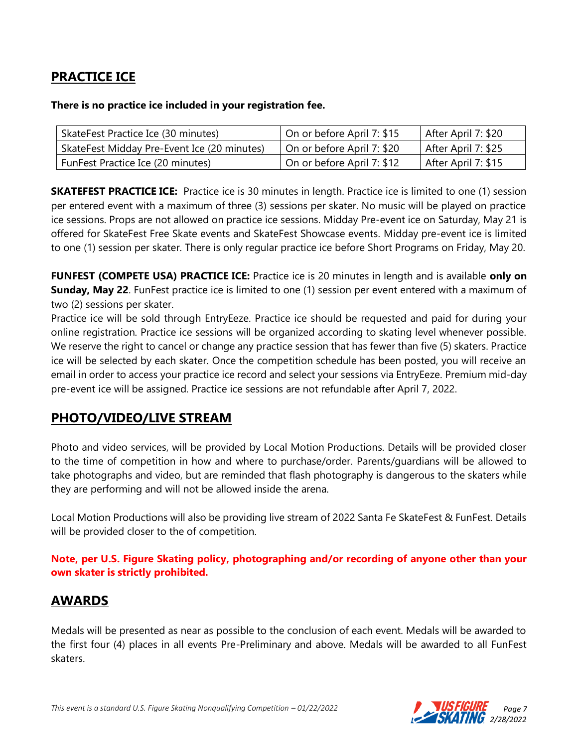# **PRACTICE ICE**

#### **There is no practice ice included in your registration fee.**

| SkateFest Practice Ice (30 minutes)         | On or before April 7: \$15 | After April 7: \$20 |
|---------------------------------------------|----------------------------|---------------------|
| SkateFest Midday Pre-Event Ice (20 minutes) | On or before April 7: \$20 | After April 7: \$25 |
| FunFest Practice Ice (20 minutes)           | On or before April 7: \$12 | After April 7: \$15 |

**SKATEFEST PRACTICE ICE:** Practice ice is 30 minutes in length. Practice ice is limited to one (1) session per entered event with a maximum of three (3) sessions per skater. No music will be played on practice ice sessions. Props are not allowed on practice ice sessions. Midday Pre-event ice on Saturday, May 21 is offered for SkateFest Free Skate events and SkateFest Showcase events. Midday pre-event ice is limited to one (1) session per skater. There is only regular practice ice before Short Programs on Friday, May 20.

**FUNFEST (COMPETE USA) PRACTICE ICE:** Practice ice is 20 minutes in length and is available **only on Sunday, May 22**. FunFest practice ice is limited to one (1) session per event entered with a maximum of two (2) sessions per skater.

Practice ice will be sold through EntryEeze. Practice ice should be requested and paid for during your online registration. Practice ice sessions will be organized according to skating level whenever possible. We reserve the right to cancel or change any practice session that has fewer than five (5) skaters. Practice ice will be selected by each skater. Once the competition schedule has been posted, you will receive an email in order to access your practice ice record and select your sessions via EntryEeze. Premium mid-day pre-event ice will be assigned. Practice ice sessions are not refundable after April 7, 2022.

## **PHOTO/VIDEO/LIVE STREAM**

Photo and video services, will be provided by Local Motion Productions. Details will be provided closer to the time of competition in how and where to purchase/order. Parents/guardians will be allowed to take photographs and video, but are reminded that flash photography is dangerous to the skaters while they are performing and will not be allowed inside the arena.

Local Motion Productions will also be providing live stream of 2022 Santa Fe SkateFest & FunFest. Details will be provided closer to the of competition.

**Note, [per U.S. Figure Skating policy,](https://public.3.basecamp.com/p/EsWCNMRdrZ3qJs6LsB9RM9Vf) photographing and/or recording of anyone other than your own skater is strictly prohibited.** 

## **AWARDS**

Medals will be presented as near as possible to the conclusion of each event. Medals will be awarded to the first four (4) places in all events Pre-Preliminary and above. Medals will be awarded to all FunFest skaters.

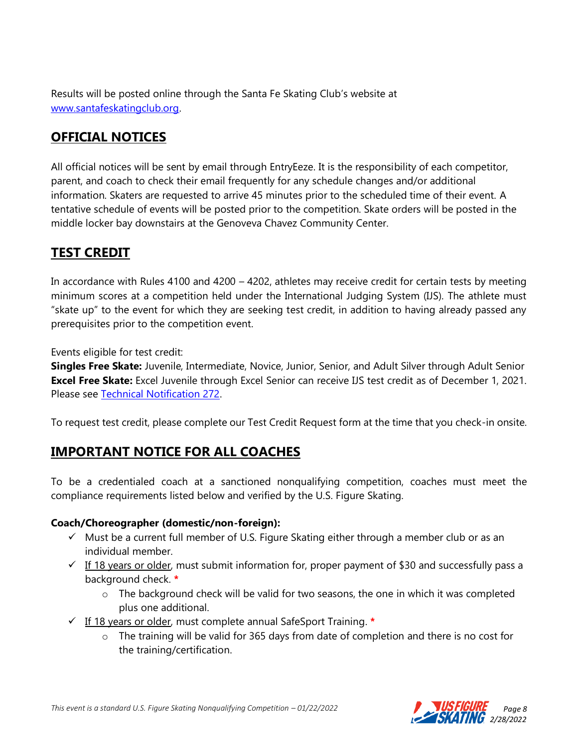Results will be posted online through the Santa Fe Skating Club's website at [www.santafeskatingclub.org.](http://www.santafeskatingclub.org/)

# **OFFICIAL NOTICES**

All official notices will be sent by email through EntryEeze. It is the responsibility of each competitor, parent, and coach to check their email frequently for any schedule changes and/or additional information. Skaters are requested to arrive 45 minutes prior to the scheduled time of their event. A tentative schedule of events will be posted prior to the competition. Skate orders will be posted in the middle locker bay downstairs at the Genoveva Chavez Community Center.

# **TEST CREDIT**

In accordance with Rules 4100 and 4200 – 4202, athletes may receive credit for certain tests by meeting minimum scores at a competition held under the International Judging System (IJS). The athlete must "skate up" to the event for which they are seeking test credit, in addition to having already passed any prerequisites prior to the competition event.

Events eligible for test credit:

**Singles Free Skate:** Juvenile, Intermediate, Novice, Junior, Senior, and Adult Silver through Adult Senior **Excel Free Skate:** Excel Juvenile through Excel Senior can receive IJS test credit as of December 1, 2021. Please see [Technical Notification 272.](https://www.usfigureskating.org/system/files/TN%20272%20IJS%20Test%20Credit%20for%20Excel.pdf)

To request test credit, please complete our Test Credit Request form at the time that you check-in onsite.

## **IMPORTANT NOTICE FOR ALL COACHES**

To be a credentialed coach at a sanctioned nonqualifying competition, coaches must meet the compliance requirements listed below and verified by the U.S. Figure Skating.

#### **Coach/Choreographer (domestic/non-foreign):**

- $\checkmark$  Must be a current full member of U.S. Figure Skating either through a member club or as an individual member.
- $\checkmark$  If 18 years or older, must submit information for, proper payment of \$30 and successfully pass a background check. **\***
	- o The background check will be valid for two seasons, the one in which it was completed plus one additional.
- ✓ If 18 years or older, must complete annual SafeSport Training. **\***
	- o The training will be valid for 365 days from date of completion and there is no cost for the training/certification.



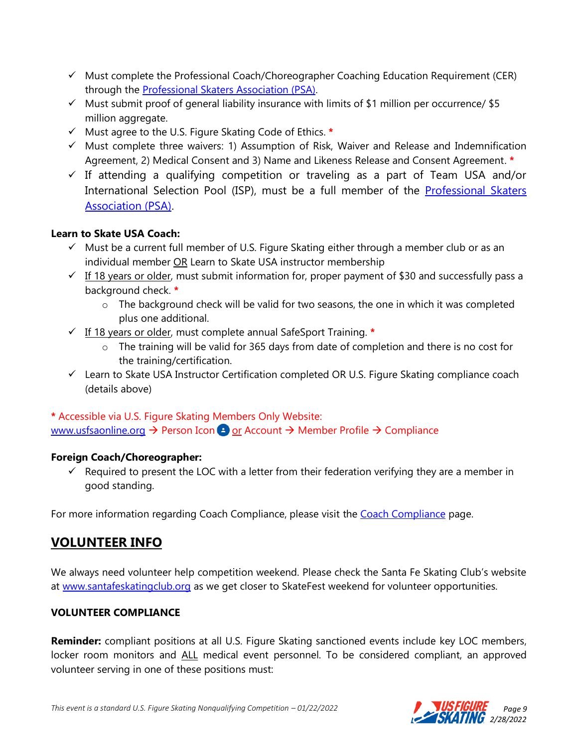- $\checkmark$  Must complete the Professional Coach/Choreographer Coaching Education Requirement (CER) through the [Professional Skaters Association \(PSA\).](https://skatepsa.com/compliance)
- $\checkmark$  Must submit proof of general liability insurance with limits of \$1 million per occurrence/ \$5 million aggregate.
- ✓ Must agree to the U.S. Figure Skating Code of Ethics. **\***
- ✓ Must complete three waivers: 1) Assumption of Risk, Waiver and Release and Indemnification Agreement, 2) Medical Consent and 3) Name and Likeness Release and Consent Agreement. **\***
- $\checkmark$  If attending a qualifying competition or traveling as a part of Team USA and/or International Selection Pool (ISP), must be a full member of the [Professional Skaters](https://skatepsa.com/membership)  [Association \(PSA\).](https://skatepsa.com/membership)

#### **Learn to Skate USA Coach:**

- $\checkmark$  Must be a current full member of U.S. Figure Skating either through a member club or as an individual member OR Learn to Skate USA instructor membership
- $\checkmark$  If 18 years or older, must submit information for, proper payment of \$30 and successfully pass a background check. **\***
	- o The background check will be valid for two seasons, the one in which it was completed plus one additional.
- ✓ If 18 years or older, must complete annual SafeSport Training. **\***
	- o The training will be valid for 365 days from date of completion and there is no cost for the training/certification.
- ✓ Learn to Skate USA Instructor Certification completed OR U.S. Figure Skating compliance coach (details above)

#### **\*** Accessible via U.S. Figure Skating Members Only Website: [www.usfsaonline.org](http://www.usfsaonline.org/) → Person Icon ● or Account → Member Profile → Compliance

#### **Foreign Coach/Choreographer:**

 $\checkmark$  Required to present the LOC with a letter from their federation verifying they are a member in good standing.

For more information regarding [Coach Compliance](https://www.usfigureskating.org/support/coach/coach-compliance), please visit the Coach Compliance page.

## **VOLUNTEER INFO**

We always need volunteer help competition weekend. Please check the Santa Fe Skating Club's website at [www.santafeskatingclub.org](http://www.santafeskatingclub.org/) as we get closer to SkateFest weekend for volunteer opportunities.

#### **VOLUNTEER COMPLIANCE**

**Reminder:** compliant positions at all U.S. Figure Skating sanctioned events include key LOC members, locker room monitors and ALL medical event personnel. To be considered compliant, an approved volunteer serving in one of these positions must:

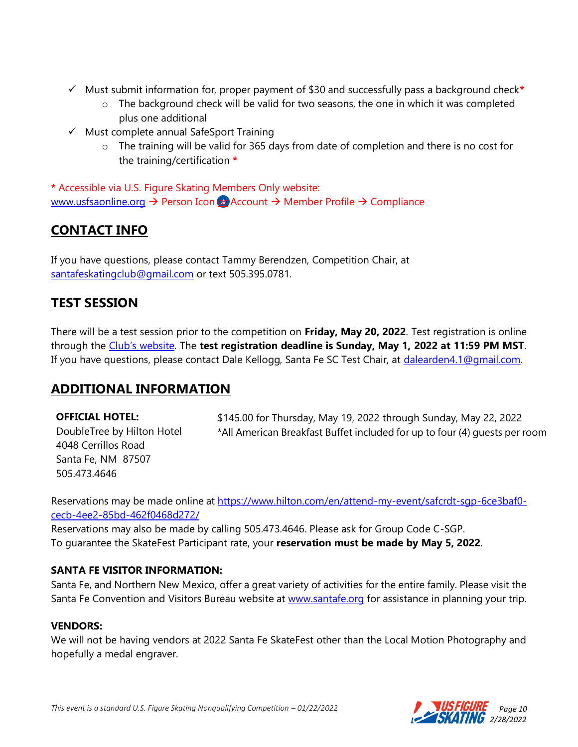- ✓ Must submit information for, proper payment of \$30 and successfully pass a background check**\***
	- $\circ$  The background check will be valid for two seasons, the one in which it was completed plus one additional
- ✓ Must complete annual SafeSport Training
	- o The training will be valid for 365 days from date of completion and there is no cost for the training/certification **\***

**\*** Accessible via U.S. Figure Skating Members Only website: [www.usfsaonline.org](http://www.usfsaonline.org/) → Person Icon or Account → Member Profile → Compliance

# **CONTACT INFO**

If you have questions, please contact Tammy Berendzen, Competition Chair, at [santafeskatingclub@gmail.com](mailto:santafeskatingclub@gmail.com) or text 505.395.0781.

## **TEST SESSION**

There will be a test session prior to the competition on **Friday, May 20, 2022**. Test registration is online through the [Club's website](https://www.santafeskatingclub.org/test-sessions-1). The **test registration deadline is Sunday, May 1, 2022 at 11:59 PM MST**. If you have questions, please contact Dale Kellogg, Santa Fe SC Test Chair, at [dalearden4.1@gmail.com.](mailto:dalearden4.1@gmail.com)

## **ADDITIONAL INFORMATION**

**OFFICIAL HOTEL:** DoubleTree by Hilton Hotel 4048 Cerrillos Road Santa Fe, NM 87507 505.473.4646 \$145.00 for Thursday, May 19, 2022 through Sunday, May 22, 2022 \*All American Breakfast Buffet included for up to four (4) guests per room

Reservations may be made online at https://www.hilton.com/en/attend-my-event/safcrdt-sqp-6ce3baf0[cecb-4ee2-85bd-462f0468d272/](https://www.hilton.com/en/attend-my-event/safcrdt-sgp-6ce3baf0-cecb-4ee2-85bd-462f0468d272/)

Reservations may also be made by calling 505.473.4646. Please ask for Group Code C-SGP. To guarantee the SkateFest Participant rate, your **reservation must be made by May 5, 2022**.

#### **SANTA FE VISITOR INFORMATION:**

Santa Fe, and Northern New Mexico, offer a great variety of activities for the entire family. Please visit the Santa Fe Convention and Visitors Bureau website at [www.santafe.org](http://www.santafe.org/) for assistance in planning your trip.

#### **VENDORS:**

We will not be having vendors at 2022 Santa Fe SkateFest other than the Local Motion Photography and hopefully a medal engraver.

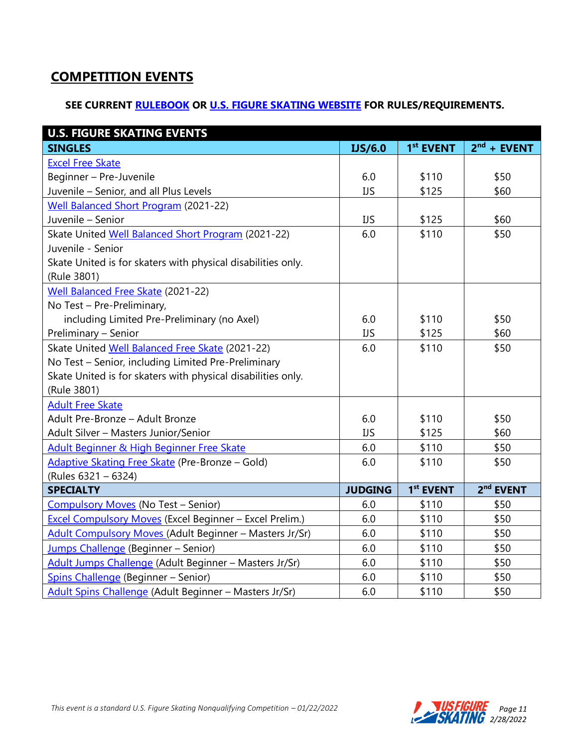# **COMPETITION EVENTS**

#### **SEE CURRENT [RULEBOOK](https://www.usfigureskating.org/about/rules) OR [U.S. FIGURE SKATING WEBSITE](http://www.usfsaonline.org/) FOR RULES/REQUIREMENTS.**

| <b>U.S. FIGURE SKATING EVENTS</b>                            |                |                       |                       |
|--------------------------------------------------------------|----------------|-----------------------|-----------------------|
| <b>SINGLES</b>                                               | <b>IJS/6.0</b> | 1 <sup>st</sup> EVENT | $2nd$ + EVENT         |
| <b>Excel Free Skate</b>                                      |                |                       |                       |
| Beginner - Pre-Juvenile                                      | 6.0            | \$110                 | \$50                  |
| Juvenile - Senior, and all Plus Levels                       | <b>IJS</b>     | \$125                 | \$60                  |
| <b>Well Balanced Short Program (2021-22)</b>                 |                |                       |                       |
| Juvenile - Senior                                            | <b>IJS</b>     | \$125                 | \$60                  |
| Skate United Well Balanced Short Program (2021-22)           | 6.0            | \$110                 | \$50                  |
| Juvenile - Senior                                            |                |                       |                       |
| Skate United is for skaters with physical disabilities only. |                |                       |                       |
| (Rule 3801)                                                  |                |                       |                       |
| Well Balanced Free Skate (2021-22)                           |                |                       |                       |
| No Test - Pre-Preliminary,                                   |                |                       |                       |
| including Limited Pre-Preliminary (no Axel)                  | 6.0            | \$110                 | \$50                  |
| Preliminary - Senior                                         | <b>IJS</b>     | \$125                 | \$60                  |
| Skate United Well Balanced Free Skate (2021-22)              | 6.0            | \$110                 | \$50                  |
| No Test - Senior, including Limited Pre-Preliminary          |                |                       |                       |
| Skate United is for skaters with physical disabilities only. |                |                       |                       |
| (Rule 3801)                                                  |                |                       |                       |
| <b>Adult Free Skate</b>                                      |                |                       |                       |
| Adult Pre-Bronze - Adult Bronze                              | 6.0            | \$110                 | \$50                  |
| Adult Silver - Masters Junior/Senior                         | <b>IJS</b>     | \$125                 | \$60                  |
| Adult Beginner & High Beginner Free Skate                    | 6.0            | \$110                 | \$50                  |
| Adaptive Skating Free Skate (Pre-Bronze - Gold)              | 6.0            | \$110                 | \$50                  |
| (Rules 6321 - 6324)                                          |                |                       |                       |
| <b>SPECIALTY</b>                                             | <b>JUDGING</b> | 1 <sup>st</sup> EVENT | 2 <sup>nd</sup> EVENT |
| Compulsory Moves (No Test - Senior)                          | 6.0            | \$110                 | \$50                  |
| Excel Compulsory Moves (Excel Beginner - Excel Prelim.)      | 6.0            | \$110                 | \$50                  |
| Adult Compulsory Moves (Adult Beginner - Masters Jr/Sr)      | 6.0            | \$110                 | \$50                  |
| Jumps Challenge (Beginner - Senior)                          | 6.0            | \$110                 | \$50                  |
| Adult Jumps Challenge (Adult Beginner - Masters Jr/Sr)       | 6.0            | \$110                 | \$50                  |
| Spins Challenge (Beginner - Senior)                          | 6.0            | \$110                 | \$50                  |
| Adult Spins Challenge (Adult Beginner - Masters Jr/Sr)       | 6.0            | \$110                 | \$50                  |

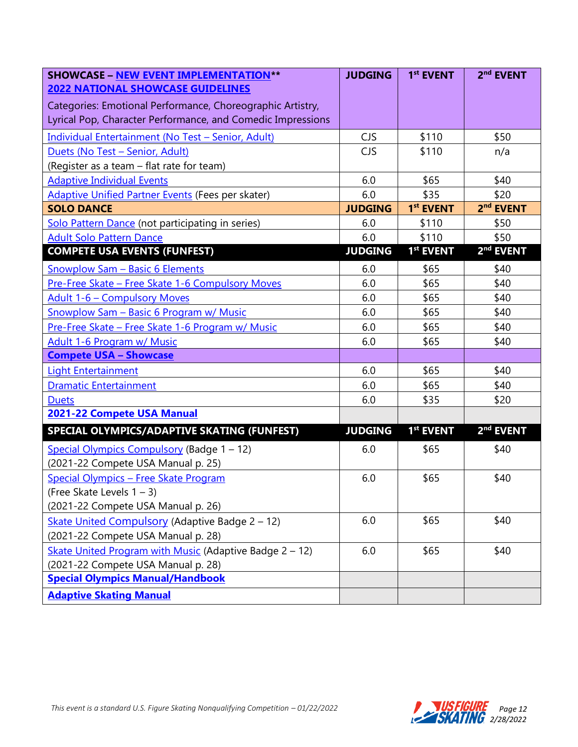| <b>SHOWCASE - NEW EVENT IMPLEMENTATION**</b>                | <b>JUDGING</b> | 1 <sup>st</sup> EVENT | 2 <sup>nd</sup> EVENT |
|-------------------------------------------------------------|----------------|-----------------------|-----------------------|
| <b>2022 NATIONAL SHOWCASE GUIDELINES</b>                    |                |                       |                       |
| Categories: Emotional Performance, Choreographic Artistry,  |                |                       |                       |
| Lyrical Pop, Character Performance, and Comedic Impressions |                |                       |                       |
| Individual Entertainment (No Test - Senior, Adult)          | CJS            | \$110                 | \$50                  |
| Duets (No Test - Senior, Adult)                             | <b>CJS</b>     | \$110                 | n/a                   |
| (Register as a team - flat rate for team)                   |                |                       |                       |
| <b>Adaptive Individual Events</b>                           | 6.0            | \$65                  | \$40                  |
| Adaptive Unified Partner Events (Fees per skater)           | 6.0            | \$35                  | \$20                  |
| <b>SOLO DANCE</b>                                           | <b>JUDGING</b> | 1 <sup>st</sup> EVENT | 2 <sup>nd</sup> EVENT |
| Solo Pattern Dance (not participating in series)            | 6.0            | \$110                 | \$50                  |
| <b>Adult Solo Pattern Dance</b>                             | 6.0            | \$110                 | \$50                  |
| <b>COMPETE USA EVENTS (FUNFEST)</b>                         | <b>JUDGING</b> | 1 <sup>st</sup> EVENT | 2 <sup>nd</sup> EVENT |
| <b>Snowplow Sam - Basic 6 Elements</b>                      | 6.0            | \$65                  | \$40                  |
| Pre-Free Skate - Free Skate 1-6 Compulsory Moves            | 6.0            | \$65                  | \$40                  |
| <b>Adult 1-6 - Compulsory Moves</b>                         | 6.0            | \$65                  | \$40                  |
| Snowplow Sam - Basic 6 Program w/ Music                     | 6.0            | \$65                  | \$40                  |
| Pre-Free Skate - Free Skate 1-6 Program w/ Music            | 6.0            | \$65                  | \$40                  |
| Adult 1-6 Program w/ Music                                  | 6.0            | \$65                  | \$40                  |
| <b>Compete USA - Showcase</b>                               |                |                       |                       |
| <b>Light Entertainment</b>                                  | 6.0            | \$65                  | \$40                  |
| <b>Dramatic Entertainment</b>                               | 6.0            | \$65                  | \$40                  |
| <b>Duets</b>                                                | 6.0            | \$35                  | \$20                  |
| 2021-22 Compete USA Manual                                  |                |                       |                       |
| SPECIAL OLYMPICS/ADAPTIVE SKATING (FUNFEST)                 | <b>JUDGING</b> | 1 <sup>st</sup> EVENT | 2 <sup>nd</sup> EVENT |
| Special Olympics Compulsory (Badge 1 - 12)                  | 6.0            | \$65                  | \$40                  |
| (2021-22 Compete USA Manual p. 25)                          |                |                       |                       |
| Special Olympics - Free Skate Program                       | 6.0            | \$65                  | \$40                  |
| (Free Skate Levels 1 - 3)                                   |                |                       |                       |
| (2021-22 Compete USA Manual p. 26)                          |                |                       |                       |
| Skate United Compulsory (Adaptive Badge 2 - 12)             | 6.0            | \$65                  | \$40                  |
| (2021-22 Compete USA Manual p. 28)                          |                |                       |                       |
| Skate United Program with Music (Adaptive Badge $2 - 12$ )  | 6.0            | \$65                  | \$40                  |
| (2021-22 Compete USA Manual p. 28)                          |                |                       |                       |
| <b>Special Olympics Manual/Handbook</b>                     |                |                       |                       |
| <b>Adaptive Skating Manual</b>                              |                |                       |                       |

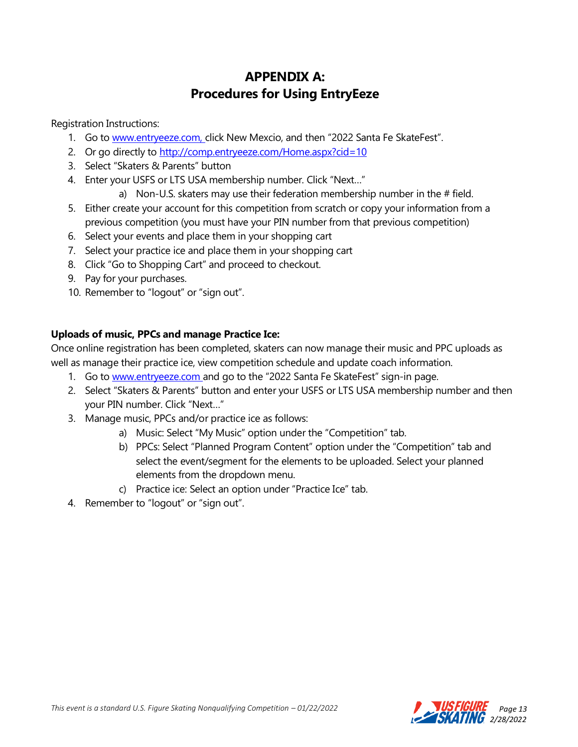## **APPENDIX A: Procedures for Using EntryEeze**

Registration Instructions:

- 1. Go to [www.entryeeze.com, c](http://www.entryeeze.com/)lick New Mexcio, and then "2022 Santa Fe SkateFest".
- 2. Or go directly to<http://comp.entryeeze.com/Home.aspx?cid=10>
- 3. Select "Skaters & Parents" button
- 4. Enter your USFS or LTS USA membership number. Click "Next…"
	- a) Non-U.S. skaters may use their federation membership number in the  $#$  field.
- 5. Either create your account for this competition from scratch or copy your information from a previous competition (you must have your PIN number from that previous competition)
- 6. Select your events and place them in your shopping cart
- 7. Select your practice ice and place them in your shopping cart
- 8. Click "Go to Shopping Cart" and proceed to checkout.
- 9. Pay for your purchases.
- 10. Remember to "logout" or "sign out".

#### **Uploads of music, PPCs and manage Practice Ice:**

Once online registration has been completed, skaters can now manage their music and PPC uploads as well as manage their practice ice, view competition schedule and update coach information.

- 1. Go to [www.entryeeze.com](http://www.entryeeze.com/) and go to the "2022 Santa Fe SkateFest" sign-in page.
- 2. Select "Skaters & Parents" button and enter your USFS or LTS USA membership number and then your PIN number. Click "Next…"
- 3. Manage music, PPCs and/or practice ice as follows:
	- a) Music: Select "My Music" option under the "Competition" tab.
	- b) PPCs: Select "Planned Program Content" option under the "Competition" tab and select the event/segment for the elements to be uploaded. Select your planned elements from the dropdown menu.
	- c) Practice ice: Select an option under "Practice Ice" tab.
- 4. Remember to "logout" or "sign out".